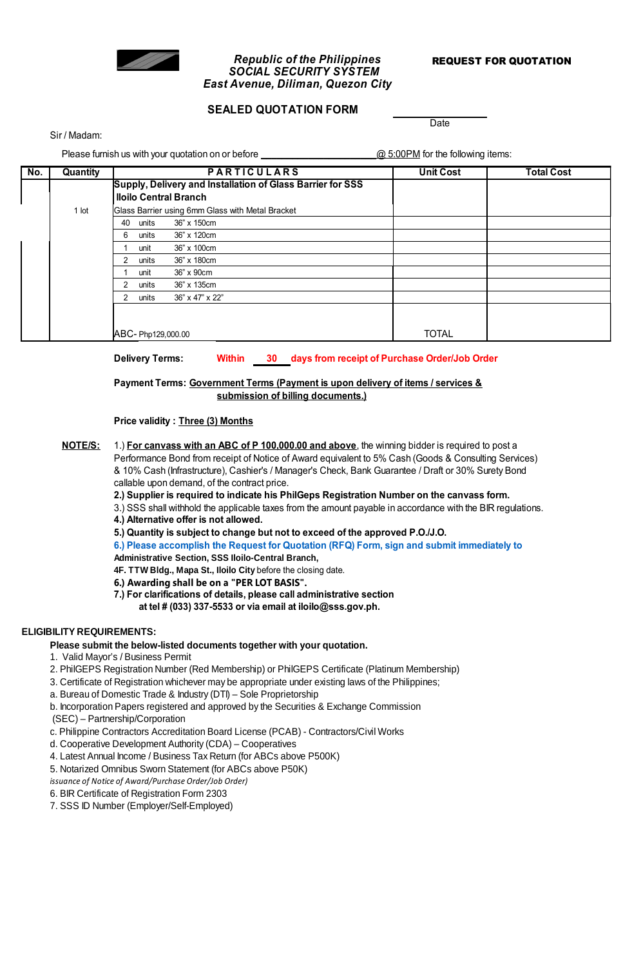

## **Republic of the Philippines REQUEST FOR QUOTATION** *SOCIAL SECURITY SYSTEM East Avenue, Diliman, Quezon City*

# **SEALED QUOTATION FORM**

Sir / Madam:

Please furnish us with your quotation on or before \_\_\_\_\_\_\_\_\_\_\_\_\_\_\_\_\_\_\_\_\_\_\_\_\_\_\_@ 5:00PM for the following items:

**Date** 

| No. | Quantity                  | <b>PARTICULARS</b>                                         |                                                  | <b>Unit Cost</b> | <b>Total Cost</b> |
|-----|---------------------------|------------------------------------------------------------|--------------------------------------------------|------------------|-------------------|
|     |                           | Supply, Delivery and Installation of Glass Barrier for SSS |                                                  |                  |                   |
|     |                           | <b>Iloilo Central Branch</b>                               |                                                  |                  |                   |
|     | 1 lot                     |                                                            | Glass Barrier using 6mm Glass with Metal Bracket |                  |                   |
|     |                           | units<br>40                                                | 36" x 150cm                                      |                  |                   |
|     |                           | 6<br>units                                                 | 36" x 120cm                                      |                  |                   |
|     |                           | unit                                                       | 36" x 100cm                                      |                  |                   |
|     |                           | $\mathcal{P}$<br>units                                     | 36" x 180cm                                      |                  |                   |
|     |                           | unit                                                       | 36" x 90cm                                       |                  |                   |
|     |                           | $\mathcal{P}$<br>units                                     | 36" x 135cm                                      |                  |                   |
|     |                           | $\mathcal{P}$<br>units                                     | 36" x 47" x 22"                                  |                  |                   |
|     |                           |                                                            |                                                  |                  |                   |
|     |                           |                                                            |                                                  |                  |                   |
|     | <b>JABC-Php129,000.00</b> |                                                            |                                                  | <b>TOTAL</b>     |                   |

**Delivery Terms: Within 30 days from receipt of Purchase Order/Job Order**

**submission of billing documents.) Payment Terms: Government Terms (Payment is upon delivery of items / services &**

**Price validity : Three (3) Months**

**NOTE/S:** Performance Bond from receipt of Notice of Award equivalent to 5% Cash (Goods & Consulting Services) & 10% Cash (Infrastructure), Cashier's / Manager's Check, Bank Guarantee / Draft or 30% Surety Bond callable upon demand, of the contract price. 1.) **For canvass with an ABC of P 100,000.00 and above**, the winning bidder is required to post a

**2.) Supplier is required to indicate his PhilGeps Registration Number on the canvass form.**

3.) SSS shall withhold the applicable taxes from the amount payable in accordance with the BIR regulations.

**4.) Alternative offer is not allowed.**

**5.) Quantity is subject to change but not to exceed of the approved P.O./J.O.**

**6.) Please accomplish the Request for Quotation (RFQ) Form, sign and submit immediately to**

**Administrative Section, SSS Iloilo-Central Branch,** 

**4F. TTW Bldg., Mapa St., Iloilo City** before the closing date.

**6.) Awarding shall be on a "PER LOT BASIS".**

**7.) For clarifications of details, please call administrative section** 

**at tel # (033) 337-5533 or via email at iloilo@sss.gov.ph.**

## **ELIGIBILITY REQUIREMENTS:**

#### **Please submit the below-listed documents together with your quotation.**

- *(\*For previous/regular suppliers, submission of required documents is once a year only (for updating purposes)* 1. Valid Mayor's / Business Permit
- 2. PhilGEPS Registration Number (Red Membership) or PhilGEPS Certificate (Platinum Membership) *Copies of the following documents are required to be submitted prior to recommendation of award (evaluation of offer)*
- 3. Certificate of Registration whichever may be appropriate under existing laws of the Philippines;
- a. Bureau of Domestic Trade & Industry (DTI) Sole Proprietorship

b. Incorporation Papers registered and approved by the Securities & Exchange Commission

(SEC) – Partnership/Corporation

c. Philippine Contractors Accreditation Board License (PCAB) - Contractors/Civil Works

d. Cooperative Development Authority (CDA) – Cooperatives

4. Latest Annual Income / Business Tax Return (for ABCs above P500K)

5. Notarized Omnibus Sworn Statement (for ABCs above P50K)

*issuance of Notice of Award/Purchase Order/Job Order)*

6. BIR Certificate of Registration Form 2303

7. SSS ID Number (Employer/Self-Employed)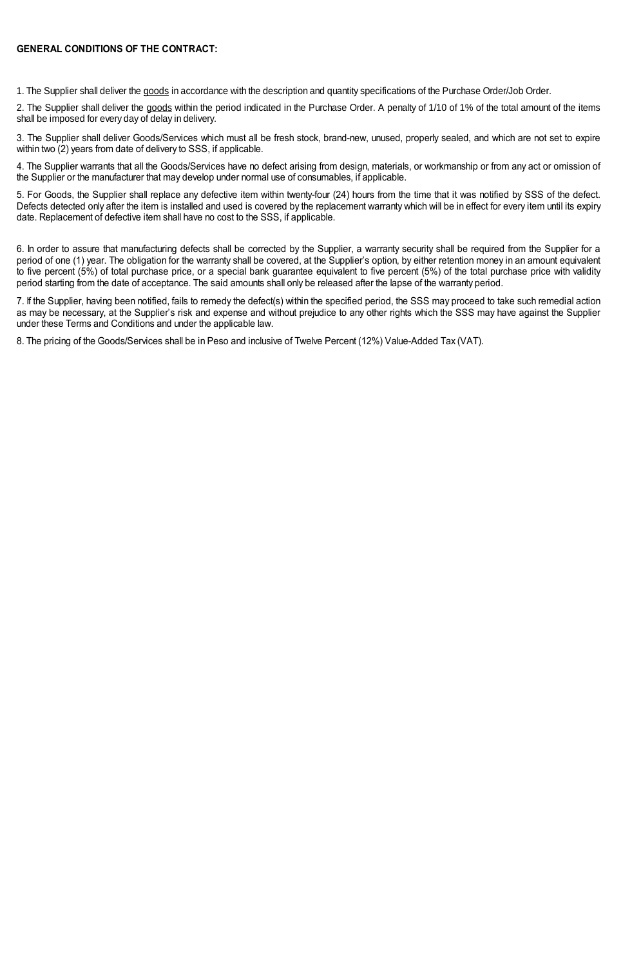#### **GENERAL CONDITIONS OF THE CONTRACT:**

1. The Supplier shall deliver the goods in accordance with the description and quantity specifications of the Purchase Order/Job Order.

2. The Supplier shall deliver the goods within the period indicated in the Purchase Order. A penalty of 1/10 of 1% of the total amount of the items shall be imposed for every day of delay in delivery.

3. The Supplier shall deliver Goods/Services which must all be fresh stock, brand-new, unused, properly sealed, and which are not set to expire within two (2) years from date of delivery to SSS, if applicable.

4. The Supplier warrants that all the Goods/Services have no defect arising from design, materials, or workmanship or from any act or omission of the Supplier or the manufacturer that may develop under normal use of consumables, if applicable.

5. For Goods, the Supplier shall replace any defective item within twenty-four (24) hours from the time that it was notified by SSS of the defect. Defects detected only after the item is installed and used is covered by the replacement warranty which will be in effect for every item until its expiry date. Replacement of defective item shall have no cost to the SSS, if applicable.

6. In order to assure that manufacturing defects shall be corrected by the Supplier, a warranty security shall be required from the Supplier for a period of one (1) year. The obligation for the warranty shall be covered, at the Supplier's option, by either retention money in an amount equivalent to five percent (5%) of total purchase price, or a special bank guarantee equivalent to five percent (5%) of the total purchase price with validity period starting from the date of acceptance. The said amounts shall only be released after the lapse of the warranty period.

7. If the Supplier, having been notified, fails to remedy the defect(s) within the specified period, the SSS may proceed to take such remedial action as may be necessary, at the Supplier's risk and expense and without prejudice to any other rights which the SSS may have against the Supplier under these Terms and Conditions and under the applicable law.

8. The pricing of the Goods/Services shall be in Peso and inclusive of Twelve Percent (12%) Value-Added Tax (VAT).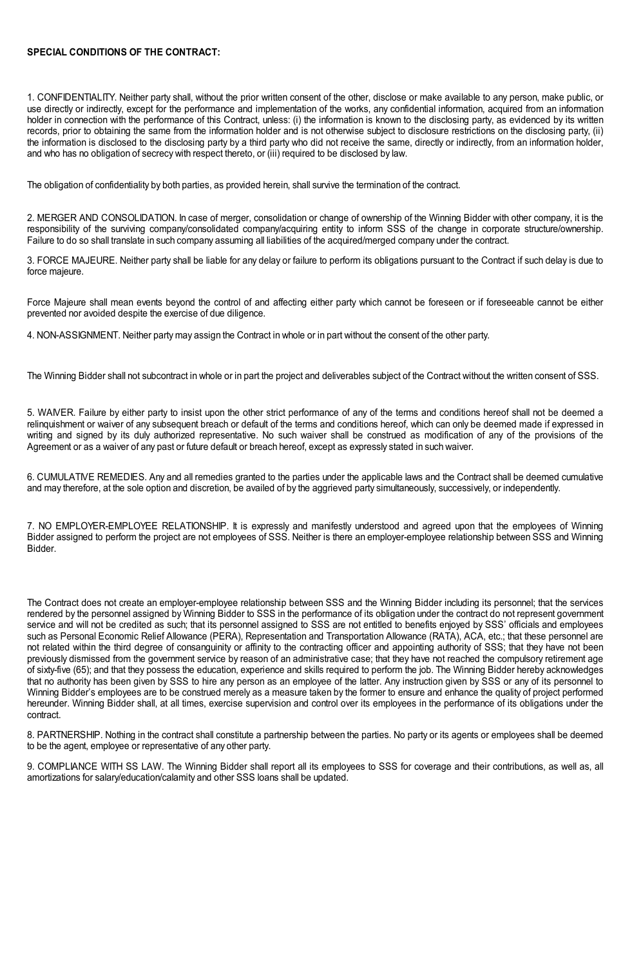### **SPECIAL CONDITIONS OF THE CONTRACT:**

1. CONFIDENTIALITY. Neither party shall, without the prior written consent of the other, disclose or make available to any person, make public, or use directly or indirectly, except for the performance and implementation of the works, any confidential information, acquired from an information holder in connection with the performance of this Contract, unless: (i) the information is known to the disclosing party, as evidenced by its written records, prior to obtaining the same from the information holder and is not otherwise subject to disclosure restrictions on the disclosing party, (ii) the information is disclosed to the disclosing party by a third party who did not receive the same, directly or indirectly, from an information holder, and who has no obligation of secrecy with respect thereto, or (iii) required to be disclosed by law.

The obligation of confidentiality by both parties, as provided herein, shall survive the termination of the contract.

2. MERGER AND CONSOLIDATION. In case of merger, consolidation or change of ownership of the Winning Bidder with other company, it is the responsibility of the surviving company/consolidated company/acquiring entity to inform SSS of the change in corporate structure/ownership. Failure to do so shall translate in such company assuming all liabilities of the acquired/merged company under the contract.

3. FORCE MAJEURE. Neither party shall be liable for any delay or failure to perform its obligations pursuant to the Contract if such delay is due to force majeure.

Force Majeure shall mean events beyond the control of and affecting either party which cannot be foreseen or if foreseeable cannot be either prevented nor avoided despite the exercise of due diligence.

4. NON-ASSIGNMENT. Neither party may assign the Contract in whole or in part without the consent of the other party.

The Winning Bidder shall not subcontract in whole or in part the project and deliverables subject of the Contract without the written consent of SSS.

5. WAIVER. Failure by either party to insist upon the other strict performance of any of the terms and conditions hereof shall not be deemed a relinquishment or waiver of any subsequent breach or default of the terms and conditions hereof, which can only be deemed made if expressed in writing and signed by its duly authorized representative. No such waiver shall be construed as modification of any of the provisions of the Agreement or as a waiver of any past or future default or breach hereof, except as expressly stated in such waiver.

6. CUMULATIVE REMEDIES. Any and all remedies granted to the parties under the applicable laws and the Contract shall be deemed cumulative and may therefore, at the sole option and discretion, be availed of by the aggrieved party simultaneously, successively, or independently.

7. NO EMPLOYER-EMPLOYEE RELATIONSHIP. It is expressly and manifestly understood and agreed upon that the employees of Winning Bidder assigned to perform the project are not employees of SSS. Neither is there an employer-employee relationship between SSS and Winning Bidder.

The Contract does not create an employer-employee relationship between SSS and the Winning Bidder including its personnel; that the services rendered by the personnel assigned by Winning Bidder to SSS in the performance of its obligation under the contract do not represent government service and will not be credited as such; that its personnel assigned to SSS are not entitled to benefits enjoyed by SSS' officials and employees such as Personal Economic Relief Allowance (PERA), Representation and Transportation Allowance (RATA), ACA, etc.; that these personnel are not related within the third degree of consanguinity or affinity to the contracting officer and appointing authority of SSS; that they have not been previously dismissed from the government service by reason of an administrative case; that they have not reached the compulsory retirement age of sixty-five (65); and that they possess the education, experience and skills required to perform the job. The Winning Bidder hereby acknowledges that no authority has been given by SSS to hire any person as an employee of the latter. Any instruction given by SSS or any of its personnel to Winning Bidder's employees are to be construed merely as a measure taken by the former to ensure and enhance the quality of project performed hereunder. Winning Bidder shall, at all times, exercise supervision and control over its employees in the performance of its obligations under the contract.

8. PARTNERSHIP. Nothing in the contract shall constitute a partnership between the parties. No party or its agents or employees shall be deemed to be the agent, employee or representative of any other party.

9. COMPLIANCE WITH SS LAW. The Winning Bidder shall report all its employees to SSS for coverage and their contributions, as well as, all amortizations for salary/education/calamity and other SSS loans shall be updated.